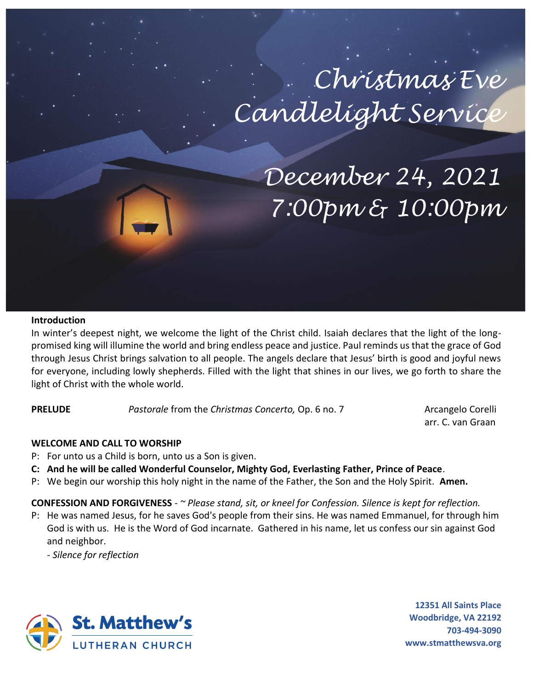# *Christmas Eve Candlelight Service*

*December 24, 2021 7:00pm & 10:00pm* 

#### **Introduction**

In winter's deepest night, we welcome the light of the Christ child. Isaiah declares that the light of the longpromised king will illumine the world and bring endless peace and justice. Paul reminds us that the grace of God through Jesus Christ brings salvation to all people. The angels declare that Jesus' birth is good and joyful news for everyone, including lowly shepherds. Filled with the light that shines in our lives, we go forth to share the light of Christ with the whole world.

**PRELUDE** *Pastorale from the Christmas Concerto, Op. 6 no. 7* Arcangelo Corelli

arr. C. van Graan

# **WELCOME AND CALL TO WORSHIP**

- P: For unto us a Child is born, unto us a Son is given.
- **C: And he will be called Wonderful Counselor, Mighty God, Everlasting Father, Prince of Peace**.
- P: We begin our worship this holy night in the name of the Father, the Son and the Holy Spirit. **Amen.**

**CONFESSION AND FORGIVENESS** *- ~ Please stand, sit, or kneel for Confession. Silence is kept for reflection.*

P: He was named Jesus, for he saves God's people from their sins. He was named Emmanuel, for through him God is with us. He is the Word of God incarnate. Gathered in his name, let us confess our sin against God and neighbor.

*- Silence for reflection* 



**12351 All Saints Place Woodbridge, VA 22192 703-494-3090 www.stmatthewsva.org**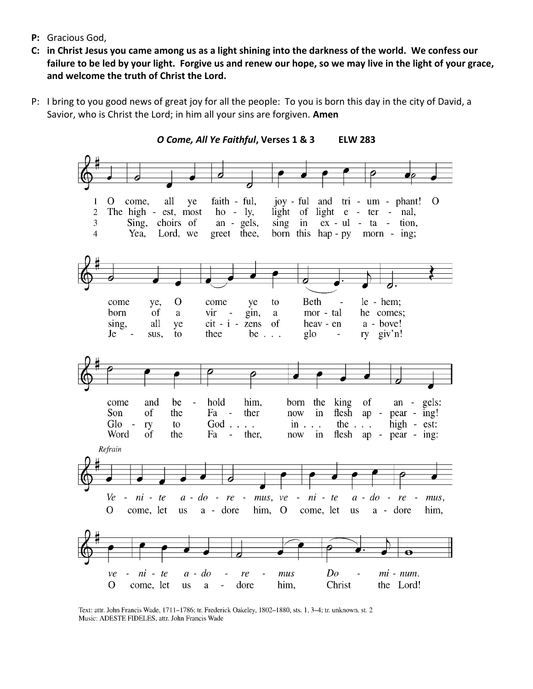- **P:** Gracious God,
- **C: in Christ Jesus you came among us as a light shining into the darkness of the world. We confess our failure to be led by your light. Forgive us and renew our hope, so we may live in the light of your grace, and welcome the truth of Christ the Lord.**
- P: I bring to you good news of great joy for all the people: To you is born this day in the city of David, a Savior, who is Christ the Lord; in him all your sins are forgiven. **Amen**



*O Come, All Ye Faithful***, Verses 1 & 3 ELW 283**

Text: attr. John Francis Wade, 1711-1786; tr. Frederick Oakeley, 1802-1880, sts. 1, 3-4; tr. unknown, st. 2 Music: ADESTE FIDELES, attr. John Francis Wade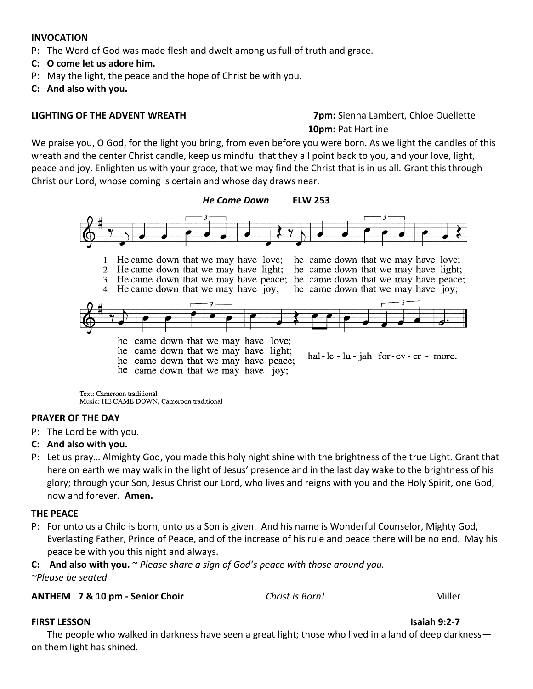# **INVOCATION**

- P: The Word of God was made flesh and dwelt among us full of truth and grace.
- **C: O come let us adore him.**
- P: May the light, the peace and the hope of Christ be with you.
- **C: And also with you.**

**LIGHTING OF THE ADVENT WREATH 7pm:** Sienna Lambert, Chloe Ouellette  **10pm:** Pat Hartline

We praise you, O God, for the light you bring, from even before you were born. As we light the candles of this wreath and the center Christ candle, keep us mindful that they all point back to you, and your love, light, peace and joy. Enlighten us with your grace, that we may find the Christ that is in us all. Grant this through Christ our Lord, whose coming is certain and whose day draws near.

![](_page_2_Figure_8.jpeg)

Text: Cameroon traditional Music: HE CAME DOWN, Cameroon traditional

### **PRAYER OF THE DAY**

P: The Lord be with you.

# **C: And also with you.**

P: Let us pray… Almighty God, you made this holy night shine with the brightness of the true Light. Grant that here on earth we may walk in the light of Jesus' presence and in the last day wake to the brightness of his glory; through your Son, Jesus Christ our Lord, who lives and reigns with you and the Holy Spirit, one God, now and forever. **Amen.**

### **THE PEACE**

P: For unto us a Child is born, unto us a Son is given. And his name is Wonderful Counselor, Mighty God, Everlasting Father, Prince of Peace, and of the increase of his rule and peace there will be no end. May his peace be with you this night and always.

**C: And also with you.** ~ *Please share a sign of God's peace with those around you.*

*~Please be seated*

|  | ANTHEM 7 & 10 pm - Senior Choir | Christ is Born! | Miller |
|--|---------------------------------|-----------------|--------|
|--|---------------------------------|-----------------|--------|

### **FIRST LESSON Isaiah 9:2-7**

The people who walked in darkness have seen a great light; those who lived in a land of deep darkness on them light has shined.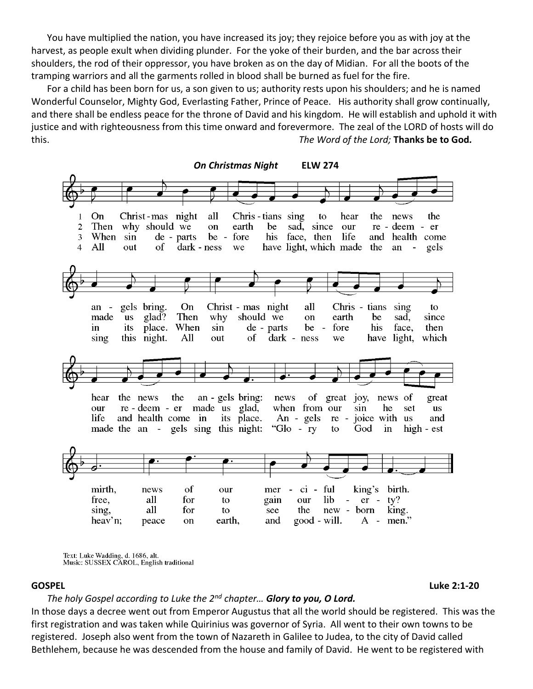You have multiplied the nation, you have increased its joy; they rejoice before you as with joy at the harvest, as people exult when dividing plunder. For the yoke of their burden, and the bar across their shoulders, the rod of their oppressor, you have broken as on the day of Midian. For all the boots of the tramping warriors and all the garments rolled in blood shall be burned as fuel for the fire.

For a child has been born for us, a son given to us; authority rests upon his shoulders; and he is named Wonderful Counselor, Mighty God, Everlasting Father, Prince of Peace. His authority shall grow continually, and there shall be endless peace for the throne of David and his kingdom. He will establish and uphold it with justice and with righteousness from this time onward and forevermore. The zeal of the LORD of hosts will do this. *The Word of the Lord;* **Thanks be to God***.*

![](_page_3_Figure_2.jpeg)

Text: Luke Wadding, d. 1686, alt.<br>Music: SUSSEX CAROL, English traditional

**GOSPEL Luke 2:1-20**

### *The holy Gospel according to Luke the 2nd chapter… Glory to you, O Lord.*

In those days a decree went out from Emperor Augustus that all the world should be registered. This was the first registration and was taken while Quirinius was governor of Syria. All went to their own towns to be registered. Joseph also went from the town of Nazareth in Galilee to Judea, to the city of David called Bethlehem, because he was descended from the house and family of David. He went to be registered with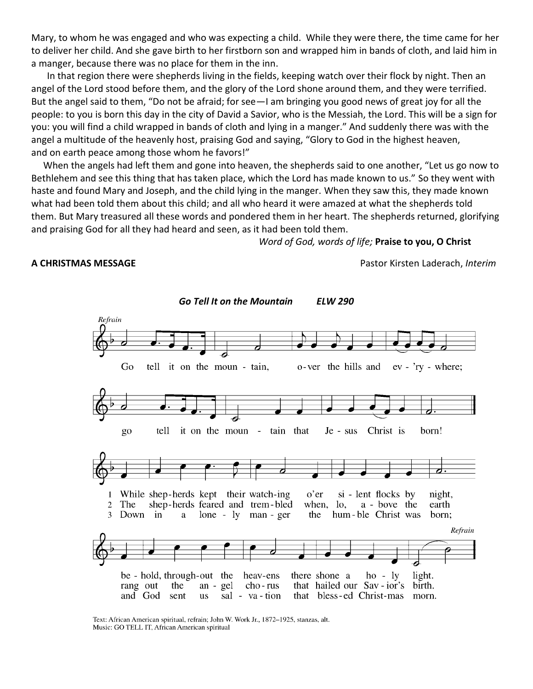Mary, to whom he was engaged and who was expecting a child. While they were there, the time came for her to deliver her child. And she gave birth to her firstborn son and wrapped him in bands of cloth, and laid him in a manger, because there was no place for them in the inn.

In that region there were shepherds living in the fields, keeping watch over their flock by night. Then an angel of the Lord stood before them, and the glory of the Lord shone around them, and they were terrified. But the angel said to them, "Do not be afraid; for see—I am bringing you good news of great joy for all the people: to you is born this day in the city of David a Savior, who is the Messiah, the Lord. This will be a sign for you: you will find a child wrapped in bands of cloth and lying in a manger." And suddenly there was with the angel a multitude of the heavenly host, praising God and saying, "Glory to God in the highest heaven, and on earth peace among those whom he favors!"

When the angels had left them and gone into heaven, the shepherds said to one another, "Let us go now to Bethlehem and see this thing that has taken place, which the Lord has made known to us." So they went with haste and found Mary and Joseph, and the child lying in the manger. When they saw this, they made known what had been told them about this child; and all who heard it were amazed at what the shepherds told them. But Mary treasured all these words and pondered them in her heart. The shepherds returned, glorifying and praising God for all they had heard and seen, as it had been told them.

*Word of God, words of life;* **Praise to you, O Christ**

**A CHRISTMAS MESSAGE** Pastor Kirsten Laderach, *Interim*

![](_page_4_Figure_6.jpeg)

Text: African American spiritual, refrain; John W. Work Jr., 1872-1925, stanzas, alt. Music: GO TELL IT, African American spiritual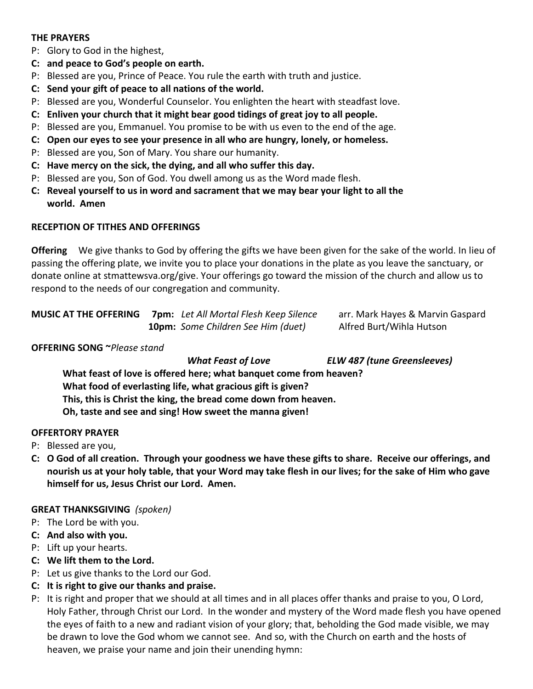# **THE PRAYERS**

- P: Glory to God in the highest,
- **C: and peace to God's people on earth.**
- P: Blessed are you, Prince of Peace. You rule the earth with truth and justice.
- **C: Send your gift of peace to all nations of the world.**
- P: Blessed are you, Wonderful Counselor. You enlighten the heart with steadfast love.
- **C: Enliven your church that it might bear good tidings of great joy to all people.**
- P: Blessed are you, Emmanuel. You promise to be with us even to the end of the age.
- **C: Open our eyes to see your presence in all who are hungry, lonely, or homeless.**
- P: Blessed are you, Son of Mary. You share our humanity.
- **C: Have mercy on the sick, the dying, and all who suffer this day.**
- P: Blessed are you, Son of God. You dwell among us as the Word made flesh.
- **C: Reveal yourself to us in word and sacrament that we may bear your light to all the world. Amen**

# **RECEPTION OF TITHES AND OFFERINGS**

**Offering** We give thanks to God by offering the gifts we have been given for the sake of the world. In lieu of passing the offering plate, we invite you to place your donations in the plate as you leave the sanctuary, or donate online at stmattewsva.org/give. Your offerings go toward the mission of the church and allow us to respond to the needs of our congregation and community.

| <b>MUSIC AT THE OFFERING 7pm:</b> Let All Mortal Flesh Keep Silence | arr. Mark Hayes & Marvin Gaspard |
|---------------------------------------------------------------------|----------------------------------|
| <b>10pm:</b> Some Children See Him (duet)                           | Alfred Burt/Wihla Hutson         |

# **OFFERING SONG ~***Please stand*

 *What Feast of Love ELW 487 (tune Greensleeves)*

**What feast of love is offered here; what banquet come from heaven? What food of everlasting life, what gracious gift is given? This, this is Christ the king, the bread come down from heaven. Oh, taste and see and sing! How sweet the manna given!**

# **OFFERTORY PRAYER**

- P: Blessed are you,
- **C: O God of all creation. Through your goodness we have these gifts to share. Receive our offerings, and nourish us at your holy table, that your Word may take flesh in our lives; for the sake of Him who gave himself for us, Jesus Christ our Lord. Amen.**

# **GREAT THANKSGIVING** *(spoken)*

- P: The Lord be with you.
- **C: And also with you.**
- P: Lift up your hearts.
- **C: We lift them to the Lord.**
- P: Let us give thanks to the Lord our God.
- **C: It is right to give our thanks and praise.**
- P: It is right and proper that we should at all times and in all places offer thanks and praise to you, O Lord, Holy Father, through Christ our Lord. In the wonder and mystery of the Word made flesh you have opened the eyes of faith to a new and radiant vision of your glory; that, beholding the God made visible, we may be drawn to love the God whom we cannot see. And so, with the Church on earth and the hosts of heaven, we praise your name and join their unending hymn: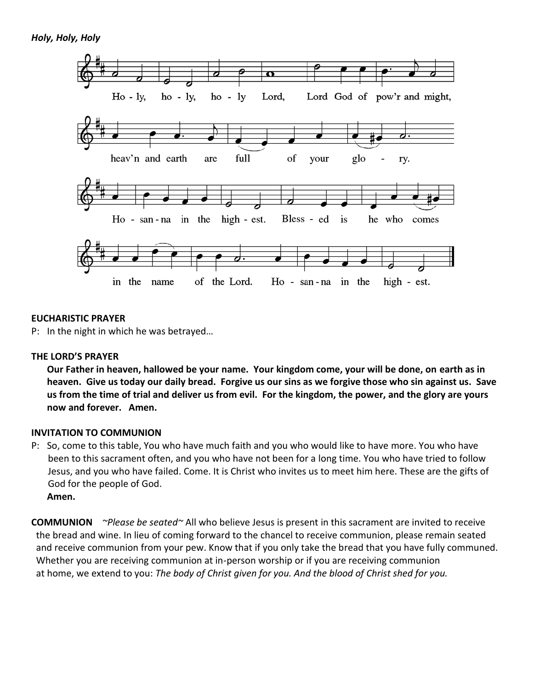![](_page_6_Figure_1.jpeg)

# **EUCHARISTIC PRAYER**

P: In the night in which he was betrayed…

# **THE LORD'S PRAYER**

**Our Father in heaven, hallowed be your name. Your kingdom come, your will be done, on earth as in heaven. Give us today our daily bread. Forgive us our sins as we forgive those who sin against us. Save us from the time of trial and deliver us from evil. For the kingdom, the power, and the glory are yours now and forever. Amen.**

# **INVITATION TO COMMUNION**

P: So, come to this table, You who have much faith and you who would like to have more. You who have been to this sacrament often, and you who have not been for a long time. You who have tried to follow Jesus, and you who have failed. Come. It is Christ who invites us to meet him here. These are the gifts of God for the people of God.

**Amen.**

**COMMUNION** *~Please be seated~* All who believe Jesus is present in this sacrament are invited to receive the bread and wine. In lieu of coming forward to the chancel to receive communion, please remain seated and receive communion from your pew. Know that if you only take the bread that you have fully communed. Whether you are receiving communion at in-person worship or if you are receiving communion at home, we extend to you:*The body of Christ given for you. And the blood of Christ shed for you.*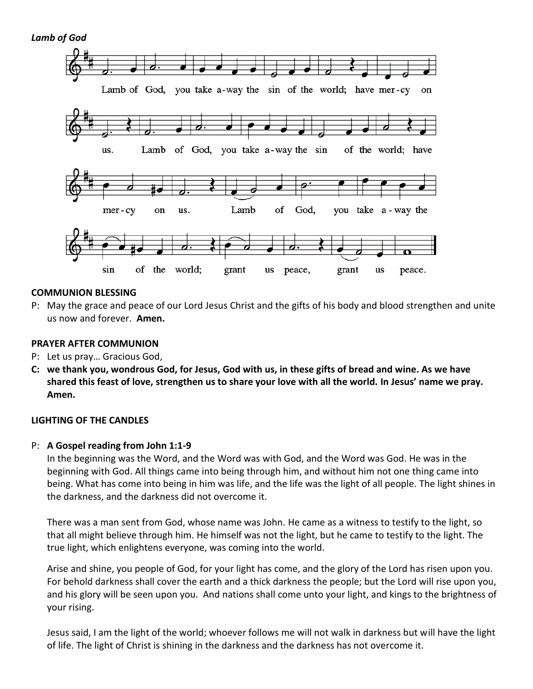![](_page_7_Figure_0.jpeg)

# **COMMUNION BLESSING**

P: May the grace and peace of our Lord Jesus Christ and the gifts of his body and blood strengthen and unite us now and forever. **Amen.**

# **PRAYER AFTER COMMUNION**

- P: Let us pray… Gracious God,
- **C: we thank you, wondrous God, for Jesus, God with us, in these gifts of bread and wine. As we have shared this feast of love, strengthen us to share your love with all the world. In Jesus' name we pray. Amen.**

# **LIGHTING OF THE CANDLES**

# P: **A Gospel reading from John 1:1-9**

In the beginning was the Word, and the Word was with God, and the Word was God. He was in the beginning with God. All things came into being through him, and without him not one thing came into being. What has come into being in him was life, and the life was the light of all people. The light shines in the darkness, and the darkness did not overcome it.

There was a man sent from God, whose name was John. He came as a witness to testify to the light, so that all might believe through him. He himself was not the light, but he came to testify to the light. The true light, which enlightens everyone, was coming into the world.

Arise and shine, you people of God, for your light has come, and the glory of the Lord has risen upon you. For behold darkness shall cover the earth and a thick darkness the people; but the Lord will rise upon you, and his glory will be seen upon you. And nations shall come unto your light, and kings to the brightness of your rising.

Jesus said, I am the light of the world; whoever follows me will not walk in darkness but will have the light of life. The light of Christ is shining in the darkness and the darkness has not overcome it.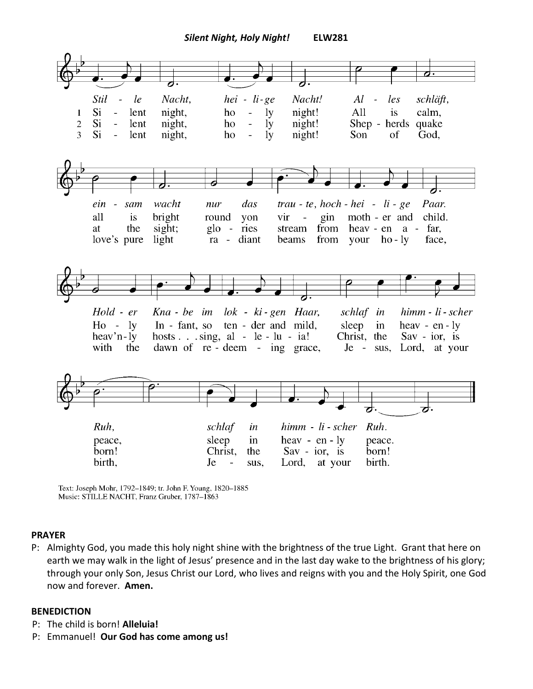![](_page_8_Figure_1.jpeg)

Text: Joseph Mohr, 1792-1849; tr. John F. Young, 1820-1885 Music: STILLE NACHT, Franz Gruber, 1787-1863

### **PRAYER**

P: Almighty God, you made this holy night shine with the brightness of the true Light. Grant that here on earth we may walk in the light of Jesus' presence and in the last day wake to the brightness of his glory; through your only Son, Jesus Christ our Lord, who lives and reigns with you and the Holy Spirit, one God now and forever. **Amen.**

### **BENEDICTION**

- P: The child is born! **Alleluia!**
- P: Emmanuel! **Our God has come among us!**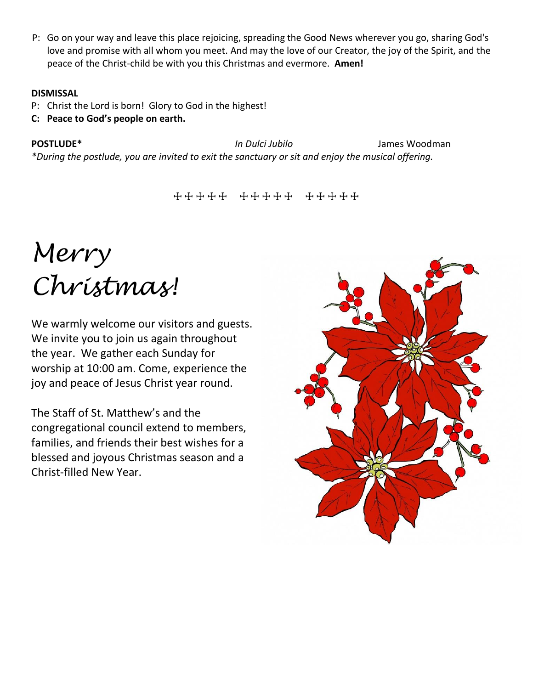P: Go on your way and leave this place rejoicing, spreading the Good News wherever you go, sharing God's love and promise with all whom you meet. And may the love of our Creator, the joy of the Spirit, and the peace of the Christ-child be with you this Christmas and evermore. **Amen!**

# **DISMISSAL**

- P: Christ the Lord is born! Glory to God in the highest!
- **C: Peace to God's people on earth.**

**POSTLUDE\*** *In Dulci Jubilo* James Woodman *\*During the postlude, you are invited to exit the sanctuary or sit and enjoy the musical offering.*

☩ ☩ ☩ ☩ ☩ ☩ ☩ ☩ ☩ ☩ ☩ ☩ ☩ ☩ ☩

*Merry Christmas!*

We warmly welcome our visitors and guests. We invite you to join us again throughout the year. We gather each Sunday for worship at 10:00 am. Come, experience the joy and peace of Jesus Christ year round.

The Staff of St. Matthew's and the congregational council extend to members, families, and friends their best wishes for a blessed and joyous Christmas season and a Christ-filled New Year.

![](_page_9_Picture_9.jpeg)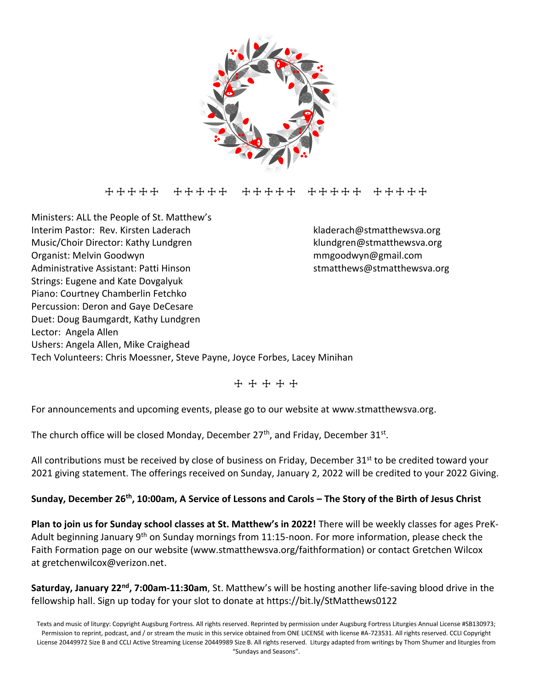![](_page_10_Picture_0.jpeg)

# ☩ ☩ ☩ ☩ ☩ ☩ ☩ ☩ ☩ ☩ ☩ ☩ ☩ ☩ ☩ ☩ ☩ ☩ ☩ ☩ ☩ ☩ ☩ ☩ ☩

Ministers: ALL the People of St. Matthew's Interim Pastor: Rev. Kirsten Laderach kladerach kladerach@stmatthewsva.org Music/Choir Director: Kathy Lundgren                   klundgren@stmatthewsva.org Organist: Melvin Goodwyn mmgoodwyn@gmail.com Administrative Assistant: Patti Hinson building the stmatthews@stmatthewsva.org Strings: Eugene and Kate Dovgalyuk Piano: Courtney Chamberlin Fetchko Percussion: Deron and Gaye DeCesare Duet: Doug Baumgardt, Kathy Lundgren Lector: Angela Allen Ushers: Angela Allen, Mike Craighead Tech Volunteers: Chris Moessner, Steve Payne, Joyce Forbes, Lacey Minihan

☩ ☩ ☩ ☩ ☩

For announcements and upcoming events, please go to our website at www.stmatthewsva.org.

The church office will be closed Monday, December 27<sup>th</sup>, and Friday, December 31<sup>st</sup>.

All contributions must be received by close of business on Friday, December  $31<sup>st</sup>$  to be credited toward your 2021 giving statement. The offerings received on Sunday, January 2, 2022 will be credited to your 2022 Giving.

# **Sunday, December 26th , 10:00am, A Service of Lessons and Carols – The Story of the Birth of Jesus Christ**

**Plan to join us for Sunday school classes at St. Matthew's in 2022!** There will be weekly classes for ages PreK-Adult beginning January 9<sup>th</sup> on Sunday mornings from 11:15-noon. For more information, please check the Faith Formation page on our website (www.stmatthewsva.org/faithformation) or contact Gretchen Wilcox at gretchenwilcox@verizon.net.

**Saturday, January 22nd , 7:00am-11:30am**, St. Matthew's will be hosting another life-saving blood drive in the fellowship hall. Sign up today for your slot to donate at https://bit.ly/StMatthews0122

Texts and music of liturgy: Copyright Augsburg Fortress. All rights reserved. Reprinted by permission under Augsburg Fortress Liturgies Annual License #SB130973; Permission to reprint, podcast, and / or stream the music in this service obtained from ONE LICENSE with license #A-723531. All rights reserved. CCLI Copyright License 20449972 Size B and CCLI Active Streaming License 20449989 Size B. All rights reserved. Liturgy adapted from writings by Thom Shumer and liturgies from "Sundays and Seasons".